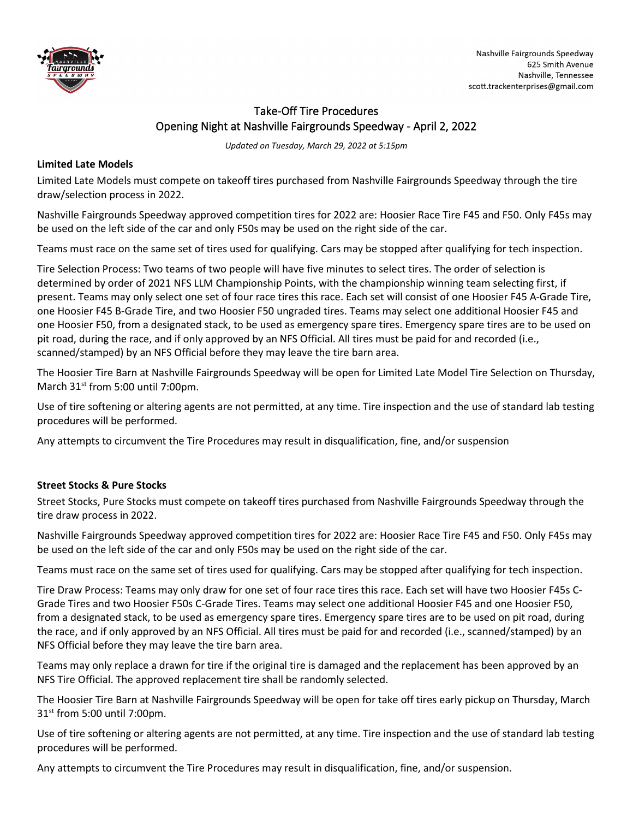

## Take-Off Tire Procedures Opening Night at Nashville Fairgrounds Speedway - April 2, 2022

*Updated on Tuesday, March 29, 2022 at 5:15pm*

## **Limited Late Models**

Limited Late Models must compete on takeoff tires purchased from Nashville Fairgrounds Speedway through the tire draw/selection process in 2022.

Nashville Fairgrounds Speedway approved competition tires for 2022 are: Hoosier Race Tire F45 and F50. Only F45s may be used on the left side of the car and only F50s may be used on the right side of the car.

Teams must race on the same set of tires used for qualifying. Cars may be stopped after qualifying for tech inspection.

Tire Selection Process: Two teams of two people will have five minutes to select tires. The order of selection is determined by order of 2021 NFS LLM Championship Points, with the championship winning team selecting first, if present. Teams may only select one set of four race tires this race. Each set will consist of one Hoosier F45 A-Grade Tire, one Hoosier F45 B-Grade Tire, and two Hoosier F50 ungraded tires. Teams may select one additional Hoosier F45 and one Hoosier F50, from a designated stack, to be used as emergency spare tires. Emergency spare tires are to be used on pit road, during the race, and if only approved by an NFS Official. All tires must be paid for and recorded (i.e., scanned/stamped) by an NFS Official before they may leave the tire barn area.

The Hoosier Tire Barn at Nashville Fairgrounds Speedway will be open for Limited Late Model Tire Selection on Thursday, March 31<sup>st</sup> from 5:00 until 7:00pm.

Use of tire softening or altering agents are not permitted, at any time. Tire inspection and the use of standard lab testing procedures will be performed.

Any attempts to circumvent the Tire Procedures may result in disqualification, fine, and/or suspension

## **Street Stocks & Pure Stocks**

Street Stocks, Pure Stocks must compete on takeoff tires purchased from Nashville Fairgrounds Speedway through the tire draw process in 2022.

Nashville Fairgrounds Speedway approved competition tires for 2022 are: Hoosier Race Tire F45 and F50. Only F45s may be used on the left side of the car and only F50s may be used on the right side of the car.

Teams must race on the same set of tires used for qualifying. Cars may be stopped after qualifying for tech inspection.

Tire Draw Process: Teams may only draw for one set of four race tires this race. Each set will have two Hoosier F45s C-Grade Tires and two Hoosier F50s C-Grade Tires. Teams may select one additional Hoosier F45 and one Hoosier F50, from a designated stack, to be used as emergency spare tires. Emergency spare tires are to be used on pit road, during the race, and if only approved by an NFS Official. All tires must be paid for and recorded (i.e., scanned/stamped) by an NFS Official before they may leave the tire barn area.

Teams may only replace a drawn for tire if the original tire is damaged and the replacement has been approved by an NFS Tire Official. The approved replacement tire shall be randomly selected.

The Hoosier Tire Barn at Nashville Fairgrounds Speedway will be open for take off tires early pickup on Thursday, March  $31<sup>st</sup>$  from 5:00 until 7:00pm.

Use of tire softening or altering agents are not permitted, at any time. Tire inspection and the use of standard lab testing procedures will be performed.

Any attempts to circumvent the Tire Procedures may result in disqualification, fine, and/or suspension.